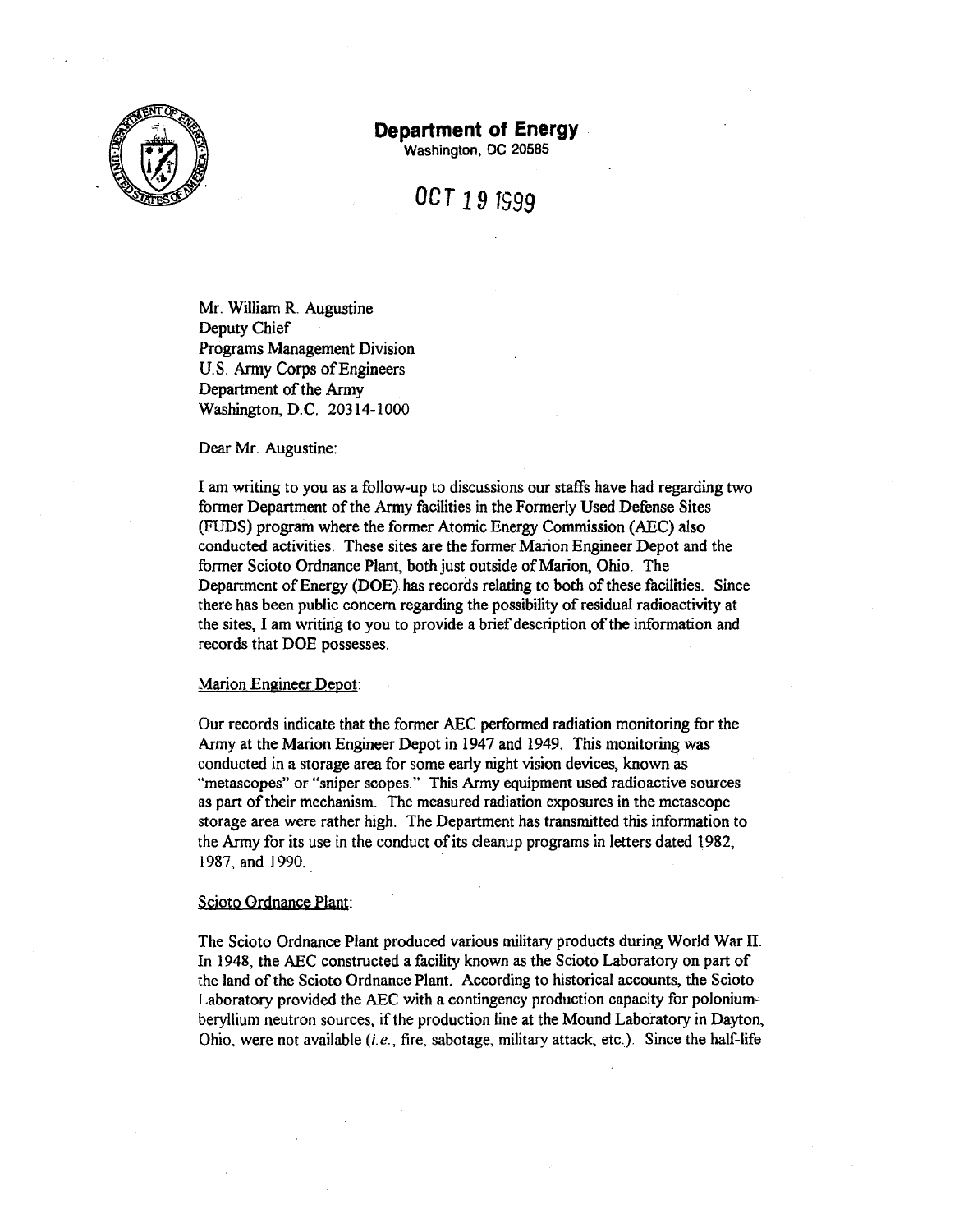

## **Department of Energy**

Washington, DC 20585

# *OCT* **19** 1599

Mr. William R. Augustine Deputy Chief Programs Management Division U.S. Army Corps of Engineers Department of the Army Washington, D.C. 20314-1000

Dear Mr. Augustine:

I am writing to you as a follow-up to discussions our staff's have had regarding two former Department of the Army facilities in the Formerly Used Defense Sites (FUDS) program where the former Atomic Energy Commission (ABC) also conducted activities. These sites are the former Marion Engineer Depot and the former Scioto Ordnance Plant, both just outside of Marion, Ohio. The Department of Energy (DOE) has records relating to both of these facilities. Since there has been public concern regarding the possibility of residual radioactivity at the sites, I am writing to you to provide a brief description of the information and records that DOE possesses.

#### Marion Engineer Depot:

Our records indicate that the former ABC performed radiation monitoring for the Army at the Marion Engineer Depot in 1947 and 1949. This monitoring was conducted in a storage area for some early night vision devices, known as "metascopes." or "sniper scopes." This Army equipment used radioactive sources as part of their mechanism. The measured radiation exposures in the metascope storage area were rather high. The Department has transmitted this information to the Army for its use in the conduct of its cleanup programs in letters dated 1982, 1987, and 1990.

#### Scioto Ordnance Plant:

The Scioto Ordnance Plant produced various military products during World War II. In 1948, the ABC constructed a facility known as the Scioto Laboratory on part of the land of the Scioto Ordnance Plant. According to historical accounts, the Scioto Laboratory provided the ABC with a contingency production capacity for poloniumberyllium neutron sources, if the production line at the Mound Laboratory in Dayton, Ohio, were not available  $(i.e.,$  fire, sabotage, military attack, etc.). Since the half-life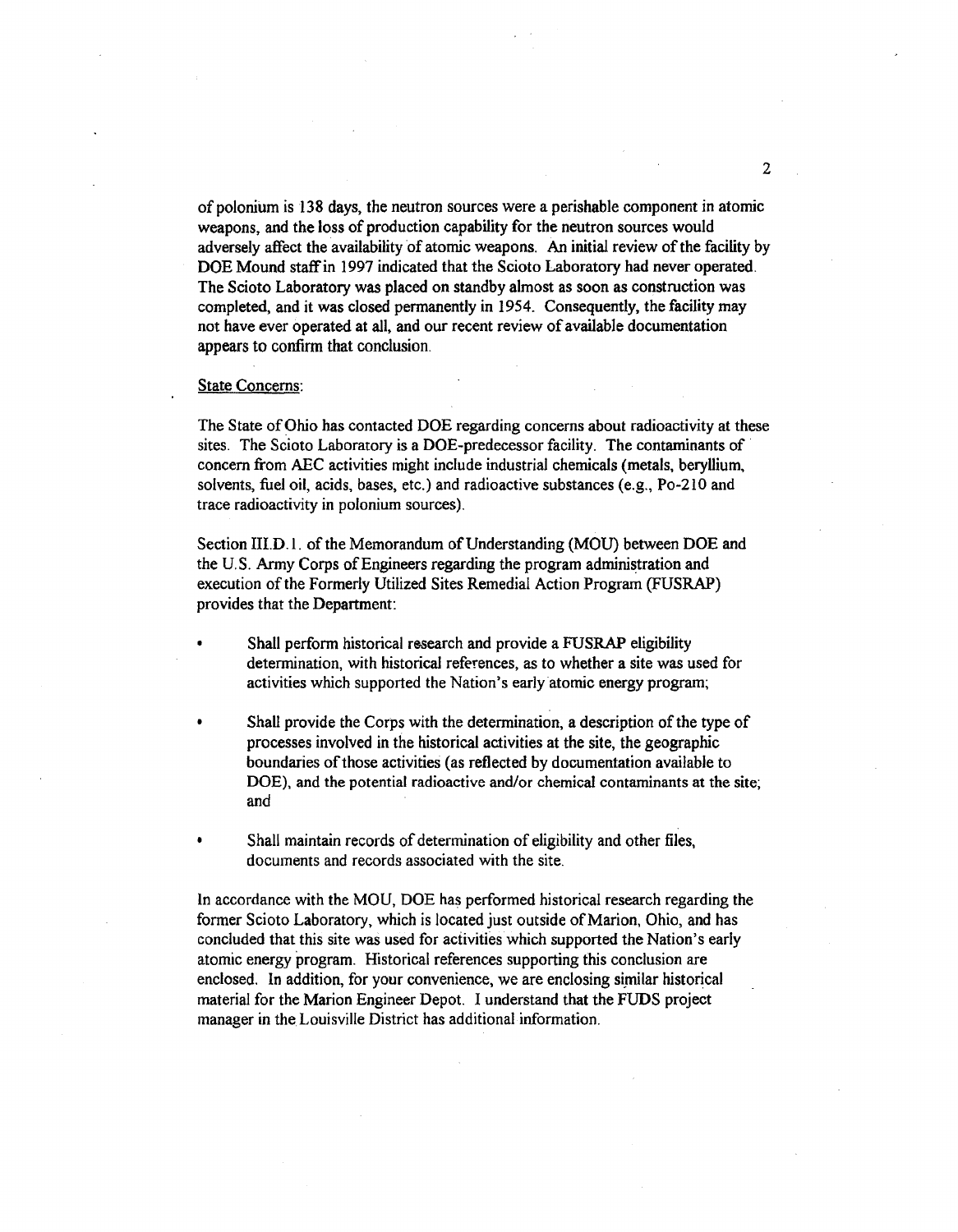of polonium is 138 days, the neutron sources were a perishable component in atomic weapons, and the loss of production capability for the neutron sources would adversely affect the availability of atomic weapons. An initial review of the facility by DOE Mound staffin 1997 indicated that the Scioto Laboratory had never operated. The Scioto Laboratory was placed on standby almost as soon as construction was completed, and it was closed permanently in 1954. Consequently, the facility may not have ever operated at all, and our recent review of available documentation appears to confirm that conclusion.

### State Concerns:

The State of Ohio has contacted DOE regarding concerns about radioactivity at these sites. The Scioto Laboratory is a DOE-predecessor facility. The contaminants of concern from ABC activities might include industrial chemicals (metals, beryllium, solvents, fuel oil, acids, bases, etc.) and radioactive substances (e.g., Po-2IO and trace radioactivity in polonium sources).

Section III.D.1. of the Memorandum of Understanding (MOU) between DOE and the U.S. Army Corps of Engineers regarding the program administration and execution of the Formerly Utilized Sites Remedial Action Program (FUSRAP) provides that the Department:

- Shall perform historical research and provide a FUSRAP eligibility determination, with historical references, as to whether a site was used for activities which supported the Nation's earlyatomic energy program;
- Shall provide the Corps with the determination, a description of the type of processes involved in the historical activities at the site, the geographic boundaries of those activities (as reflected by documentation available to DOE), and the potential radioactive and/or chemical contaminants at the site; and
- Shall maintain records of determination of eligibility and other files, documents and records associated with the site.

In accordance with the MOU, DOE has performed historical research regarding the former Scioto Laboratory, which is located just outside of Marion, Ohio, and has concluded that this site was used for activities which supported the Nation's early atomic energy program. Historical references supporting this conclusion are enclosed. In addition, for your convenience, we are enclosing similar historical material for the Marion Engineer Depot. I understand that the FUDS project manager in the Louisville District has additional information.

2